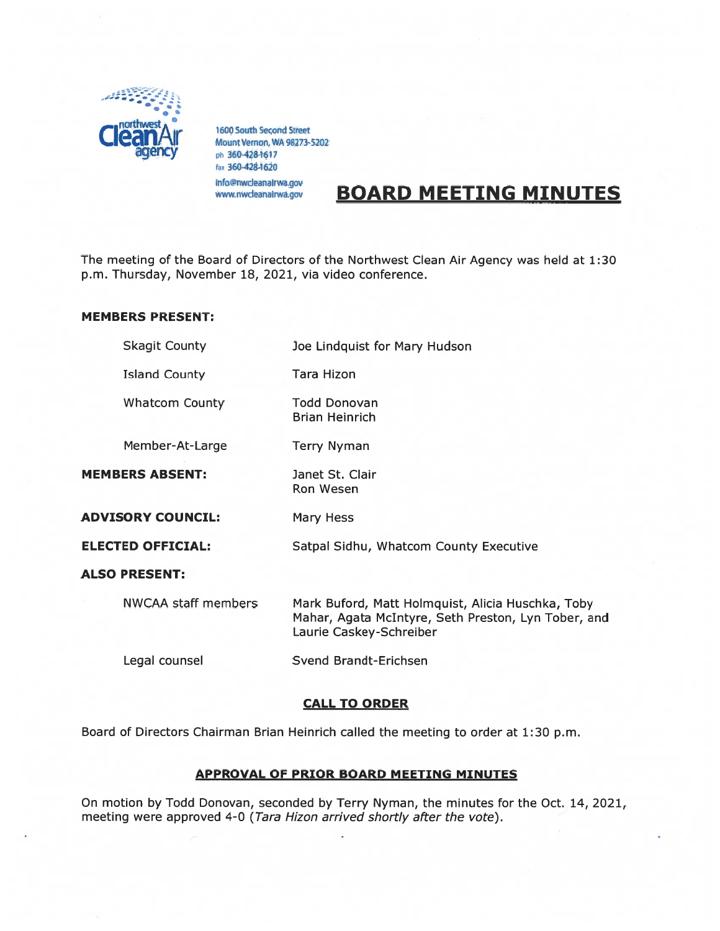

1600 South Second Street Mount Vernon, WA 98273-5202 <sup>p</sup><sup>h</sup> 3604284617 tax 3604284620 info@nwcleanalrwa.gov

# WWW.nwcleanairwa.gov BOARD MEETING MINUTES

The meeting of the Board of Directors of the Northwest Clean Air Agency was held at 1:30 p.m. Thursday, November 18, 2021, via video conference.

## MEMBERS PRESENT:

|                          | <b>Skagit County</b>       | Joe Lindquist for Mary Hudson                                                                                                       |
|--------------------------|----------------------------|-------------------------------------------------------------------------------------------------------------------------------------|
|                          | <b>Island County</b>       | Tara Hizon                                                                                                                          |
|                          | <b>Whatcom County</b>      | Todd Donovan<br><b>Brian Heinrich</b>                                                                                               |
|                          | Member-At-Large            | <b>Terry Nyman</b>                                                                                                                  |
|                          | <b>MEMBERS ABSENT:</b>     | Janet St. Clair<br><b>Ron Wesen</b>                                                                                                 |
| <b>ADVISORY COUNCIL:</b> |                            | Mary Hess                                                                                                                           |
|                          | <b>ELECTED OFFICIAL:</b>   | Satpal Sidhu, Whatcom County Executive                                                                                              |
|                          | <b>ALSO PRESENT:</b>       |                                                                                                                                     |
|                          | <b>NWCAA staff members</b> | Mark Buford, Matt Holmquist, Alicia Huschka, Toby<br>Mahar, Agata McIntyre, Seth Preston, Lyn Tober, and<br>Laurie Caskey-Schreiber |
|                          | Legal counsel              | Svend Brandt-Erichsen                                                                                                               |
|                          |                            |                                                                                                                                     |

## CALL TO ORDER

Board of Directors Chairman Brian Heinrich called the meeting to order at 1:30 p.m.

# APPROVAL OF PRIOR BOARD MEETING MINUTES

On motion by Todd Donovan, seconded by Terry Nyman, the minutes for the Oct. 14, 2021, meeting were approved 4-0 (Tara Hizon arrived shortly after the vote).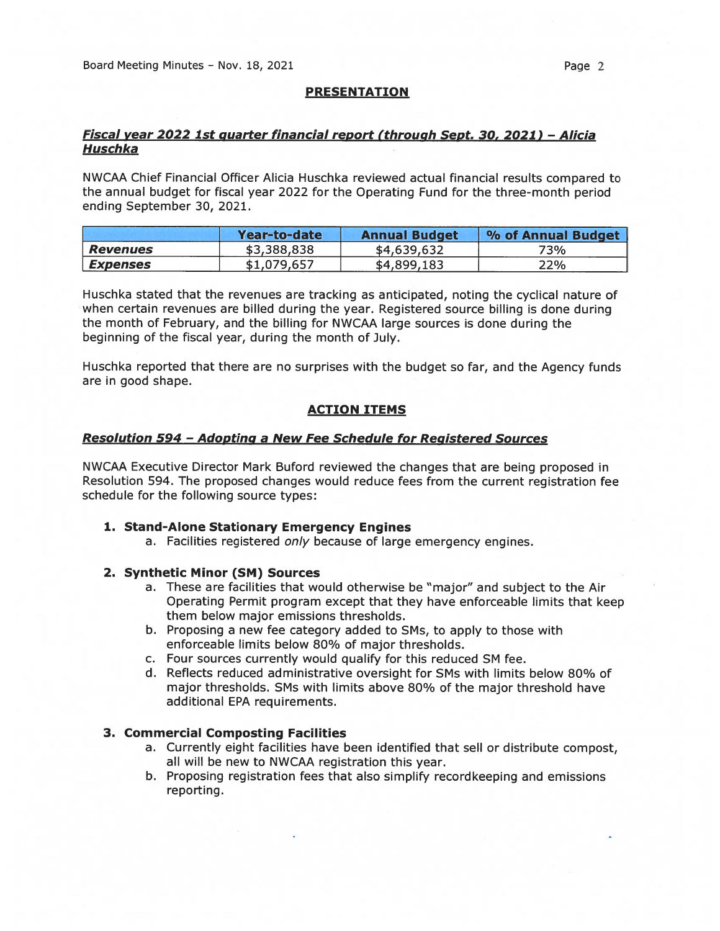#### PRESENTATION

# Fiscal year 2022 1st quarter financial repor<sup>t</sup> (through Sent. 30, 2021) — Alicia Huschka

NWCAA Chief Financial Officer Alicia Huschka reviewed actual financial results compared to the annual budget for fiscal year 2022 for the Operating Fund for the three-month period ending September 30, 2021.

|                        | Year-to-date | <b>Annual Budget</b> | % of Annual Budget |
|------------------------|--------------|----------------------|--------------------|
| <b>Revenues</b>        | \$3,388,838  | \$4,639,632          | 73%                |
| <i><b>Expenses</b></i> | \$1,079,657  | \$4,899,183          | 22%                |

Huschka stated that the revenues are tracking as anticipated, noting the cyclical nature of when certain revenues are billed during the year. Registered source billing is done during the month of February, and the billing for NWCAA large sources is done during the beginning of the fiscal year, during the month of July.

Huschka reported that there are no surprises with the budget so far, and the Agency funds are in good shape.

#### ACTION ITEMS

#### Resolution 594 - Adopting a New Fee Schedule for Registered Sources

NWCAA Executive Director Mark Buford reviewed the changes that are being proposed in Resolution 594. The proposed changes would reduce fees from the current registration fee schedule for the following source types:

#### 1. Stand-Alone Stationary Emergency Engines

a. Facilities registered only because of large emergency engines.

## 2. Synthetic Minor (SM) Sources

- a. These are facilities that would otherwise be "major" and subject to the Air Operating Permit program excep<sup>t</sup> that they have enforceable limits that keep them below major emissions thresholds.
- b. Proposing <sup>a</sup> new fee category added to SMs, to apply to those with enforceable limits below 80% of major thresholds.
- c. Four sources currently would qualify for this reduced SM fee.
- d. Reflects reduced administrative oversight for SMs with limits below 80% of major thresholds. SMs with limits above 8O% of the major threshold have additional EPA requirements.

## 3. Commercial Composting Facilities

- a. Currently eight facilities have been identified that sell or distribute compost, all will be new to NWCAA registration this year.
- b. Proposing registration fees that also simplify recordkeeping and emissions reporting.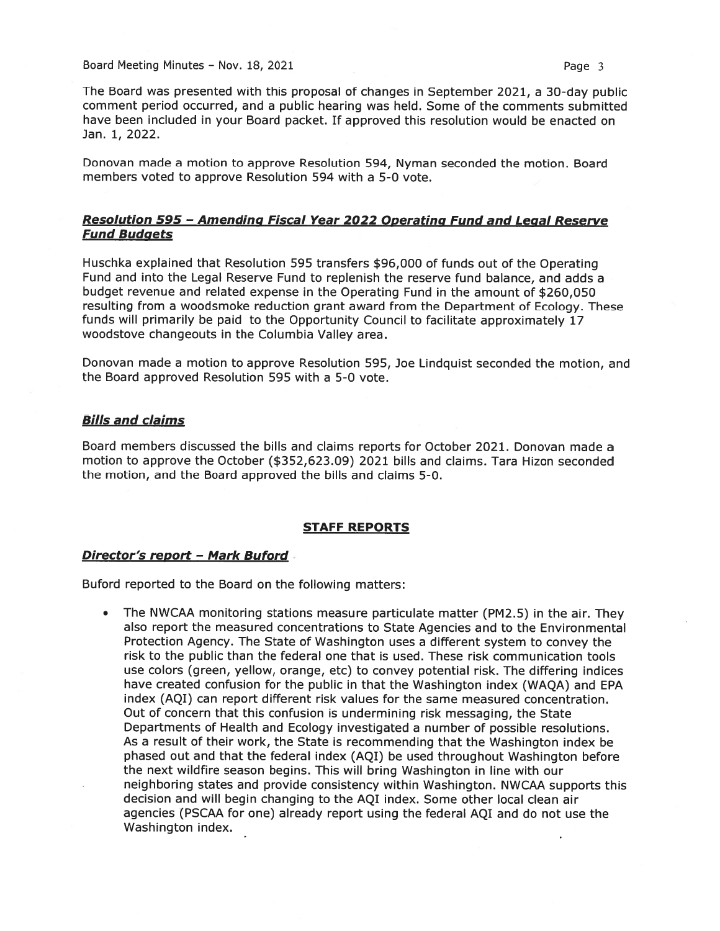Board Meeting Minutes – Nov. 18, 2021 **Page 3** 

The Board was presented with this proposa<sup>l</sup> of changes in September 2021, <sup>a</sup> 30-day public comment period occurred, and <sup>a</sup> public hearing was held. Some of the comments submitted have been included in your Board packet. If approved this resolution would be enacted on Jan. 1, 2022.

Donovan made <sup>a</sup> motion to approve Resolution 594, Nyman seconded the motion. Board members voted to approve Resolution 594 with <sup>a</sup> 5-0 vote.

# Resolution 595 -Amending Fiscal Year <sup>2022</sup> Onerating Fund and Legal Reserve **Fund Budgets**

Huschka explained that Resolution 595 transfers \$96,000 of funds out of the Operating Fund and into the Legal Reserve Fund to replenish the reserve fund balance, and adds <sup>a</sup> budget revenue and related expense in the Operating Fund in the amount of \$260,050 resulting from <sup>a</sup> woodsmoke reduction gran<sup>t</sup> award from the Department of Ecology. These funds will primarily be paid to the Opportunity Council to facilitate approximately 17 woodstove changeouts in the Columbia Valley area.

Donovan made <sup>a</sup> motion to approve Resolution 595, Joe Lindquist seconded the motion, and the Board approved Resolution 595 with <sup>a</sup> 5-0 vote.

## Bills and claims

Board members discussed the bills and claims reports for October 2021. Donovan made <sup>a</sup> motion to approve the October (\$352,623.09) 2021 bills and claims. Tara Hizon seconded the motion, and the Board approved the bills and claims 5-0.

#### STAFF REPORTS

## Director's repor<sup>t</sup> — Mark Buford

Buford reported to the Board on the following matters:

The NWCAA monitoring stations measure particulate matter (PM2.5) in the air. They also repor<sup>t</sup> the measured concentrations to State Agencies and to the Environmental Protection Agency. The State of Washington uses <sup>a</sup> different system to convey the risk to the public than the federal one that is used. These risk communication tools use colors (green, yellow, orange, etc) to convey potential risk. The differing indices have created confusion for the public in that the Washington index (WAQA) and EPA index (AQI) can repor<sup>t</sup> different risk values for the same measured concentration. Out of concern that this confusion is undermining risk messaging, the State Departments of Health and Ecology investigated <sup>a</sup> number of possible resolutions. As <sup>a</sup> result of their work, the State is recommending that the Washington index be phased out and that the federal index (AQI) be used throughout Washington before the next wildfire season begins. This will bring Washington in line with our neighboring states and provide consistency within Washington. NWCAA supports this decision and will begin changing to the AQI index. Some other local clean air agencies (PSCAA for one) already repor<sup>t</sup> using the federal AQI and do not use the Washington index.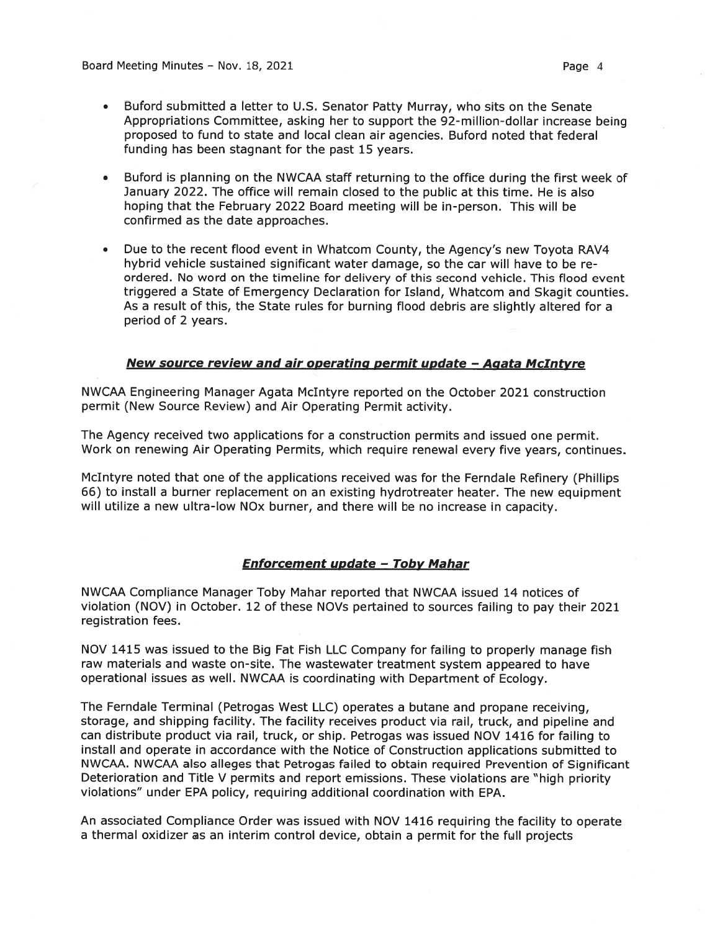Board Meeting Minutes – Nov. 18, 2021 Contract Contract Contract Contract Page 4

- Buford submitted <sup>a</sup> letter to U.S. Senator Patty Murray, who sits on the Senate Appropriations Committee, asking her to suppor<sup>t</sup> the 92-million-dollar increase being proposed to fund to state and local clean air agencies. Buford noted that federal funding has been stagnant for the pas<sup>t</sup> 15 years.
- • Buford is planning on the NWCAA staff returning to the office during the first week of January 2022. The office will remain closed to the public at this time. He is also hoping that the February 2022 Board meeting will be in-person. This will be confirmed as the date approaches.
- • Due to the recent flood event in Whatcom County, the Agency's new Toyota RAV4 hybrid vehicle sustained significant water damage, so the car will have to be re ordered. No word on the timeline for delivery of this second vehicle. This flood event triggered <sup>a</sup> State of Emergency Declaration for Island, Whatcom and Skagit counties. As <sup>a</sup> result of this, the State rules for burning flood debris are slightly altered for <sup>a</sup> period of 2 years.

# New source review and air operating permit update — Agata McIntyre

NWCAA Engineering Manager Agata McIntyre reported on the October 2021 construction permit (New Source Review) and Air Operating Permit activity.

The Agency received two applications for <sup>a</sup> construction permits and issued one permit. Work on renewing Air Operating Permits, which require renewal every five years, continues.

McIntyre noted that one of the applications received was for the Ferndale Refinery (Phillips 66) to install <sup>a</sup> burner replacement on an existing hydrotreater heater. The new equipment will utilize <sup>a</sup> new ultra-low NOx burner, and there will be no increase in capacity.

# Enforcement update — Tobv Mahar

NWCAA Compliance Manager Toby Mahar reported that NWCAA issued 14 notices of violation (NOV) in October. <sup>12</sup> of these NOVs pertained to sources failing to pay their 2021 registration fees.

NOV 1415 was issued to the Big Fat Fish LLC Company for failing to properly manage fish raw materials and waste on-site. The wastewater treatment system appeared to have operational issues as well. NWCAA is coordinating with Department of Ecology.

The Ferndale Terminal (Petrogas West LLC) operates <sup>a</sup> butane and propane receiving, storage, and shipping facility. The facility receives product via rail, truck, and pipeline and can distribute product via rail, truck, or ship. Petrogas was issued NOV 1416 for failing to install and operate in accordance with the Notice of Construction applications submitted to NWCAA. NWCAA also alleges that Petrogas failed to obtain required Prevention of Significant Deterioration and Title <sup>V</sup> permits and repor<sup>t</sup> emissions. These violations are "high priority violations" under EPA policy, requiring additional coordination with EPA.

An associated Compliance Order was issued with NOV 1416 requiring the facility to operate <sup>a</sup> thermal oxidizer as an interim control device, obtain <sup>a</sup> permit for the full projects